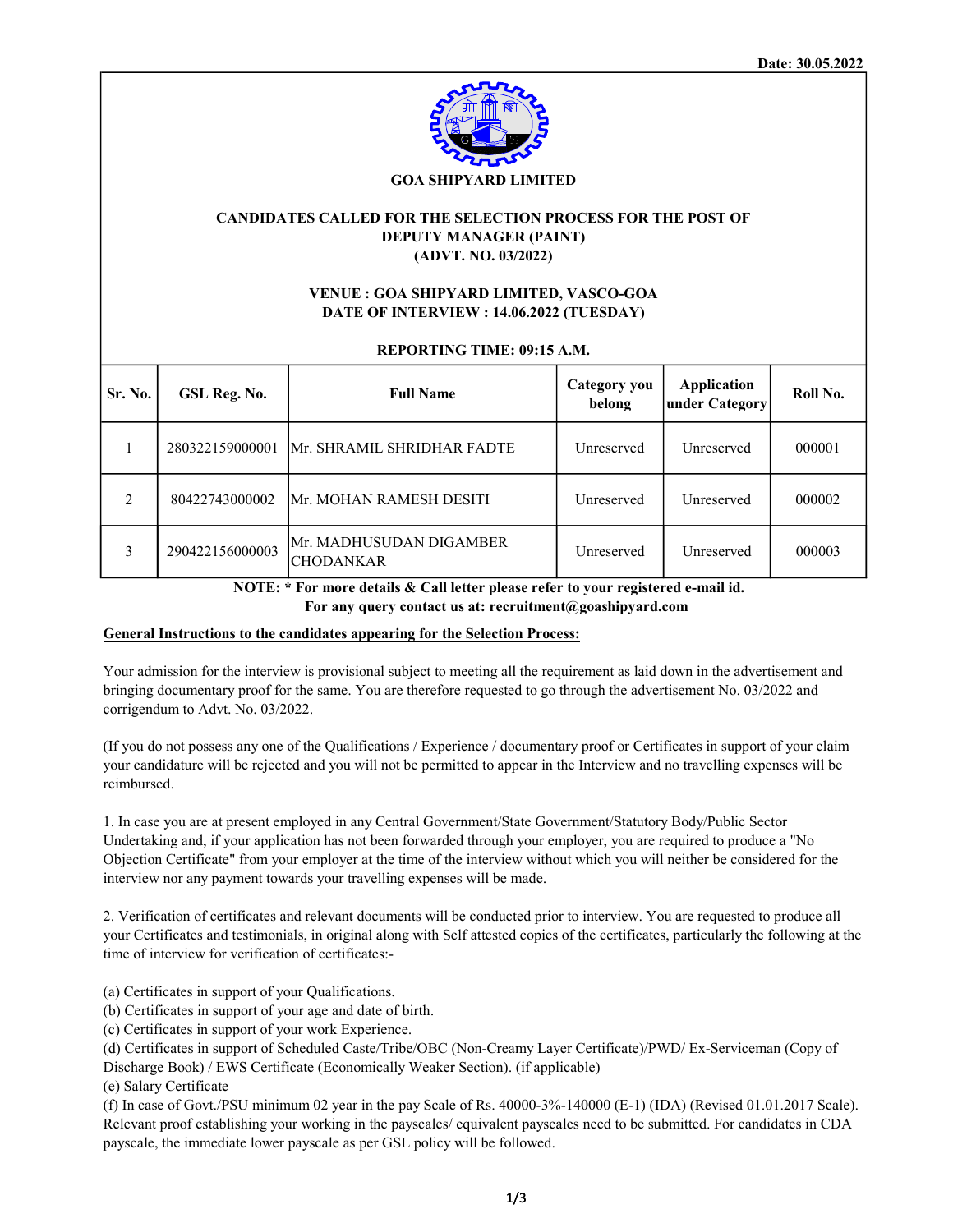

### GOA SHIPYARD LIMITED

# CANDIDATES CALLED FOR THE SELECTION PROCESS FOR THE POST OF DEPUTY MANAGER (PAINT) (ADVT. NO. 03/2022)

# VENUE : GOA SHIPYARD LIMITED, VASCO-GOA DATE OF INTERVIEW : 14.06.2022 (TUESDAY)

### REPORTING TIME: 09:15 A.M.

| Sr. No.        | GSL Reg. No.    | <b>Full Name</b>                             | Category you<br>belong | <b>Application</b><br>under Category | Roll No. |
|----------------|-----------------|----------------------------------------------|------------------------|--------------------------------------|----------|
|                | 280322159000001 | <b>Mr. SHRAMIL SHRIDHAR FADTE</b>            | Unreserved             | Unreserved                           | 000001   |
| $\mathfrak{D}$ | 80422743000002  | IMr. MOHAN RAMESH DESITI                     | Unreserved             | Unreserved                           | 000002   |
| 3              | 290422156000003 | lMr. MADHUSUDAN DIGAMBER<br><b>CHODANKAR</b> | <b>Unreserved</b>      | Unreserved                           | 000003   |

 NOTE: \* For more details & Call letter please refer to your registered e-mail id. For any query contact us at: recruitment@goashipyard.com

### General Instructions to the candidates appearing for the Selection Process:

Your admission for the interview is provisional subject to meeting all the requirement as laid down in the advertisement and bringing documentary proof for the same. You are therefore requested to go through the advertisement No. 03/2022 and corrigendum to Advt. No. 03/2022.

(If you do not possess any one of the Qualifications / Experience / documentary proof or Certificates in support of your claim your candidature will be rejected and you will not be permitted to appear in the Interview and no travelling expenses will be reimbursed.

1. In case you are at present employed in any Central Government/State Government/Statutory Body/Public Sector Undertaking and, if your application has not been forwarded through your employer, you are required to produce a "No Objection Certificate" from your employer at the time of the interview without which you will neither be considered for the interview nor any payment towards your travelling expenses will be made.

2. Verification of certificates and relevant documents will be conducted prior to interview. You are requested to produce all your Certificates and testimonials, in original along with Self attested copies of the certificates, particularly the following at the time of interview for verification of certificates:-

(a) Certificates in support of your Qualifications.

(b) Certificates in support of your age and date of birth.

(c) Certificates in support of your work Experience.

(d) Certificates in support of Scheduled Caste/Tribe/OBC (Non-Creamy Layer Certificate)/PWD/ Ex-Serviceman (Copy of

Discharge Book) / EWS Certificate (Economically Weaker Section). (if applicable)

(e) Salary Certificate

(f) In case of Govt./PSU minimum 02 year in the pay Scale of Rs. 40000-3%-140000 (E-1) (IDA) (Revised 01.01.2017 Scale). Relevant proof establishing your working in the payscales/ equivalent payscales need to be submitted. For candidates in CDA payscale, the immediate lower payscale as per GSL policy will be followed.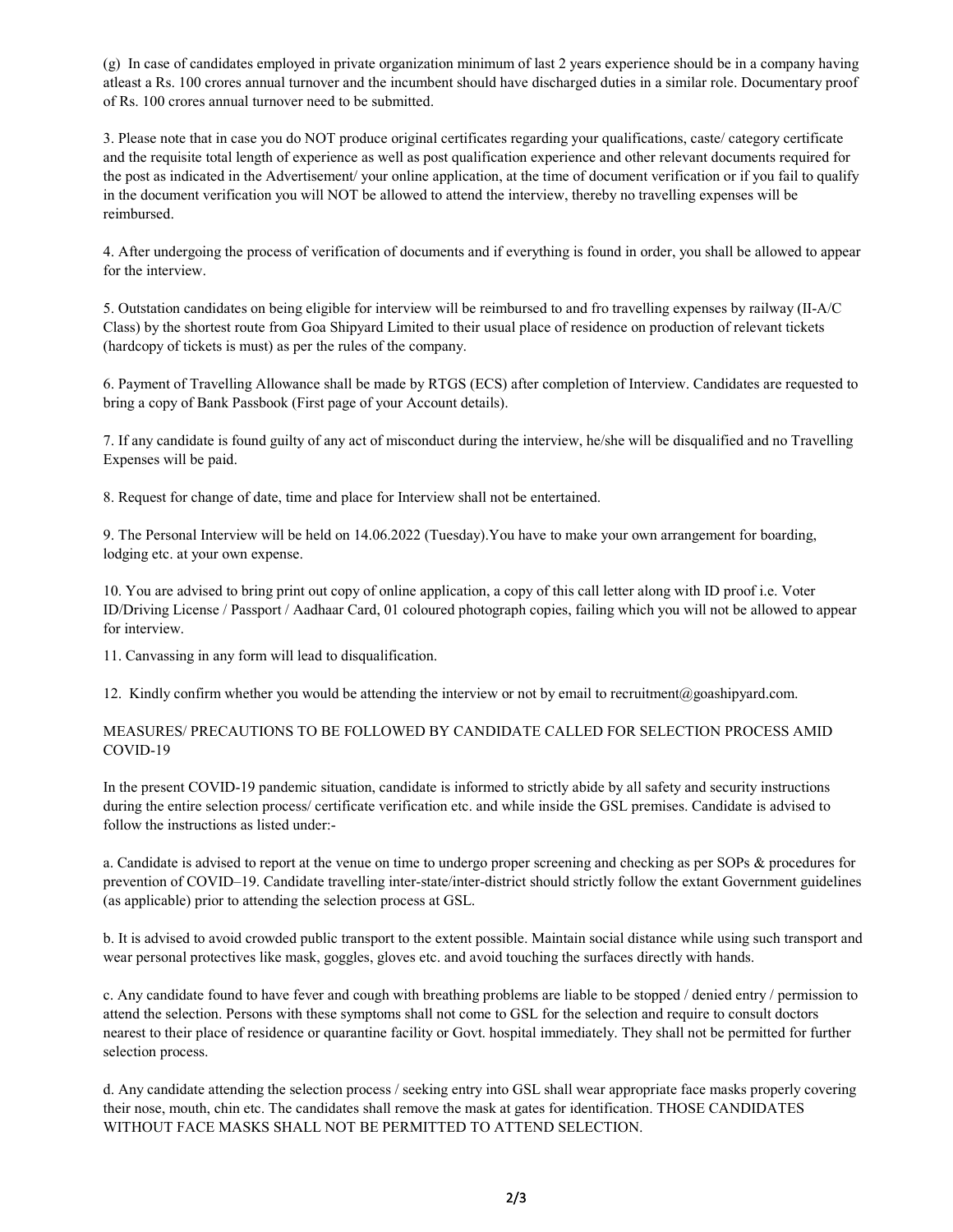(g) In case of candidates employed in private organization minimum of last 2 years experience should be in a company having atleast a Rs. 100 crores annual turnover and the incumbent should have discharged duties in a similar role. Documentary proof of Rs. 100 crores annual turnover need to be submitted.

3. Please note that in case you do NOT produce original certificates regarding your qualifications, caste/ category certificate and the requisite total length of experience as well as post qualification experience and other relevant documents required for the post as indicated in the Advertisement/ your online application, at the time of document verification or if you fail to qualify in the document verification you will NOT be allowed to attend the interview, thereby no travelling expenses will be reimbursed.

4. After undergoing the process of verification of documents and if everything is found in order, you shall be allowed to appear for the interview.

5. Outstation candidates on being eligible for interview will be reimbursed to and fro travelling expenses by railway (II-A/C Class) by the shortest route from Goa Shipyard Limited to their usual place of residence on production of relevant tickets (hardcopy of tickets is must) as per the rules of the company.

6. Payment of Travelling Allowance shall be made by RTGS (ECS) after completion of Interview. Candidates are requested to bring a copy of Bank Passbook (First page of your Account details).

7. If any candidate is found guilty of any act of misconduct during the interview, he/she will be disqualified and no Travelling Expenses will be paid.

8. Request for change of date, time and place for Interview shall not be entertained.

9. The Personal Interview will be held on 14.06.2022 (Tuesday).You have to make your own arrangement for boarding, lodging etc. at your own expense.

10. You are advised to bring print out copy of online application, a copy of this call letter along with ID proof i.e. Voter ID/Driving License / Passport / Aadhaar Card, 01 coloured photograph copies, failing which you will not be allowed to appear for interview.

11. Canvassing in any form will lead to disqualification.

12. Kindly confirm whether you would be attending the interview or not by email to recruitment@goashipyard.com.

# MEASURES/ PRECAUTIONS TO BE FOLLOWED BY CANDIDATE CALLED FOR SELECTION PROCESS AMID COVID-19

In the present COVID-19 pandemic situation, candidate is informed to strictly abide by all safety and security instructions during the entire selection process/ certificate verification etc. and while inside the GSL premises. Candidate is advised to follow the instructions as listed under:-

a. Candidate is advised to report at the venue on time to undergo proper screening and checking as per SOPs & procedures for prevention of COVID–19. Candidate travelling inter-state/inter-district should strictly follow the extant Government guidelines (as applicable) prior to attending the selection process at GSL.

b. It is advised to avoid crowded public transport to the extent possible. Maintain social distance while using such transport and wear personal protectives like mask, goggles, gloves etc. and avoid touching the surfaces directly with hands.

c. Any candidate found to have fever and cough with breathing problems are liable to be stopped / denied entry / permission to attend the selection. Persons with these symptoms shall not come to GSL for the selection and require to consult doctors nearest to their place of residence or quarantine facility or Govt. hospital immediately. They shall not be permitted for further selection process.

d. Any candidate attending the selection process / seeking entry into GSL shall wear appropriate face masks properly covering their nose, mouth, chin etc. The candidates shall remove the mask at gates for identification. THOSE CANDIDATES WITHOUT FACE MASKS SHALL NOT BE PERMITTED TO ATTEND SELECTION.